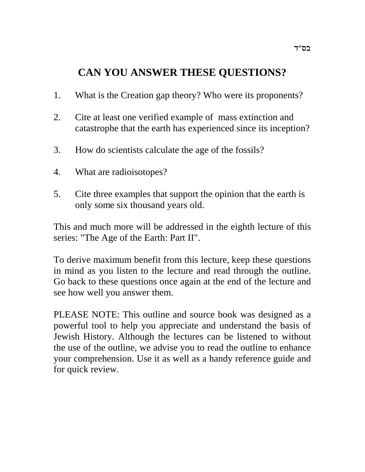# **CAN YOU ANSWER THESE QUESTIONS?**

- 1. What is the Creation gap theory? Who were its proponents?
- 2. Cite at least one verified example of mass extinction and catastrophe that the earth has experienced since its inception?
- 3. How do scientists calculate the age of the fossils?
- 4. What are radioisotopes?
- 5. Cite three examples that support the opinion that the earth is only some six thousand years old.

This and much more will be addressed in the eighth lecture of this series: "The Age of the Earth: Part II".

To derive maximum benefit from this lecture, keep these questions in mind as you listen to the lecture and read through the outline. Go back to these questions once again at the end of the lecture and see how well you answer them.

PLEASE NOTE: This outline and source book was designed as a powerful tool to help you appreciate and understand the basis of Jewish History. Although the lectures can be listened to without the use of the outline, we advise you to read the outline to enhance your comprehension. Use it as well as a handy reference guide and for quick review.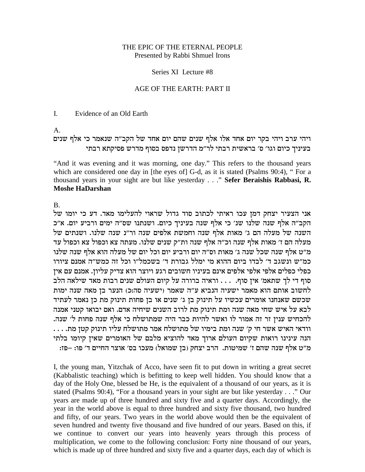### THE EPIC OF THE ETERNAL PEOPLE Presented by Rabbi Shmuel Irons

### Series XI Lecture #8

### AGE OF THE EARTH: PART II

#### $\mathbf{L}$ Evidence of an Old Earth

 $\mathsf{A}$ .

# ויהי ערב ויהי בקר יום אחד אלו אלף שנים שהם יום אחד של הקב"ה שנאמר כי אלף שנים בעיניך כיום וגו' ס' בראשית רבתי לר"מ הדרשן נדפס בסוף מדרש פסיקתא רבתי

"And it was evening and it was morning, one day." This refers to the thousand years which are considered one day in [the eyes of] G-d, as it is stated (Psalms 90:4), "For a thousand years in your sight are but like yesterday . . . " Sefer Beraishis Rabbasi, R. **Moshe HaDarshan** 

 $B<sub>1</sub>$ 

אני הצעיר יצחק דמן עכו ראיתי לכתוב סוד גדול שראוי להעלימו מאד. דע כי יומו של הקב"ה אלף שנה שלנו שנ' כי אלף שנה בעיניך כיום. ושנתנו שס"ה ימים ורביע יום. א"כ השנה של מעלה הם ג' מאות אלף שנה וחמשת אלפים שנה ור"נ שנה שלנו. ושנתים של מעלה הם ז' מאות אלף שנה וכ"ה אלף שנה ות"ק שנים שלנו. מעתה צא וכפול צא וכפול עד מ"ט אלף שנה שכל שנה ג' מאות וס"ה יום ורביע יום וכל יום של מעלה הוא אלף שנה שלנו כמ״ש ונשגב ד׳ לבדו ביום ההוא מי ימלל גבורת ד׳ בשכמל״ו וכל זה כמש״ה אמנם ציורו כפלי כפלים אלפי אלפי אלפים אינם בעיניו חשובים רגע ויוצר הוא צדיק עליון. אמנם עם אין סוף די לך שתאמ׳ אין סוף. ... וראיה ברורה על קיום העולם שנים רבות מאד שילאה הלב לחשוב אותם הוא מאמר ישעיה הנביא ע"ה שאמר (ישעיה סה:כ) הנער בן מאה שנה ימות שכשם שאנחנו אומרים עכשיו על תינוק בן ג׳ שנים או בן פחות תינוק מת כן נאמר לעתיד לבא על איש שחי מאה שנה ומת תינוק מת לרוב השנים שיחיה אדם. ואם יבואו קטני אמנה להכחיש ענין זר זה אמור לו ואשר להיות כבר היה שמתושלח כי אלף שנה פחות ל׳ שנה. וודאי האיש אשר חי ק׳ שנה ומת בימיו של מתושלח אמר מתושלח עליו תינוק קטן מת. . . . הנה עינינו רואות שקיום העולם ארוך מאד להוציא מלבם של האומרים שאין קיומו בלתי מ"ט אלף שנה שהם ז' שמיטות. הרב יצחק (בן שמואל) מעכו בס' אוצר החיים ד' פו: –פז:

I, the young man, Yitzchak of Acco, have seen fit to put down in writing a great secret (Kabbalistic teaching) which is befitting to keep well hidden. You should know that a day of the Holy One, blessed be He, is the equivalent of a thousand of our years, as it is stated (Psalms 90:4), "For a thousand years in your sight are but like yesterday . . ." Our years are made up of three hundred and sixty five and a quarter days. Accordingly, the year in the world above is equal to three hundred and sixty five thousand, two hundred and fifty, of our years. Two years in the world above would then be the equivalent of seven hundred and twenty five thousand and five hundred of our years. Based on this, if we continue to convert our years into heavenly years through this process of multiplication, we come to the following conclusion: Forty nine thousand of our years, which is made up of three hundred and sixty five and a quarter days, each day of which is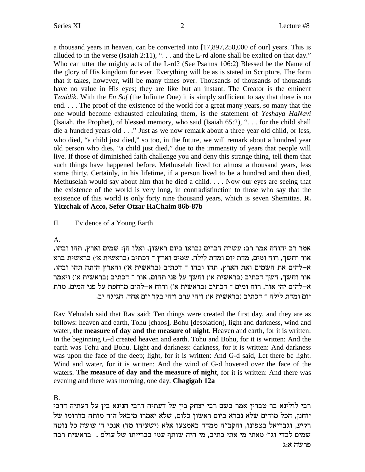a thousand years in heaven, can be converted into [17,897,250,000 of our] years. This is alluded to in the verse (Isaiah 2:11), ". . . and the L-rd alone shall be exalted on that day." Who can utter the mighty acts of the L-rd? (See Psalms 106:2) Blessed be the Name of the glory of His kingdom for ever. Everything will be as is stated in Scripture. The form that it takes, however, will be many times over. Thousands of thousands of thousands have no value in His eyes; they are like but an instant. The Creator is the eminent *Tzaddik*. With the *En Sof* (the Infinite One) it is simply sufficient to say that there is no end. . . . The proof of the existence of the world for a great many years, so many that the one would become exhausted calculating them, is the statement of *Yeshaya HaNavi* (Isaiah, the Prophet), of blessed memory, who said (Isaiah 65:2), ". . . for the child shall die a hundred years old . . ."Just as we now remark about a three year old child, or less, who died, "a child just died," so too, in the future, we will remark about a hundred year old person who dies, "a child just died," due to the immensity of years that people will live. If those of diminished faith challenge you and deny this strange thing, tell them that such things have happened before. Methuselah lived for almost a thousand years, less some thirty. Certainly, in his lifetime, if a person lived to be a hundred and then died, Methuselah would say about him that he died a child. . . . Now our eyes are seeing that the existence of the world is very long, in contradistinction to those who say that the existence of this world is only forty nine thousand years, which is seven Shemittas. **R. Yitzchak of Acco, Sefer Otzar HaChaim 86b-87b**

# II. Evidence of a Young Earth

### A.

,אמר רב יהודה אמר רב: עשרה דברים נבראו ביום ראשון, ואלו הן: שמים וארץ, תהו ובהו אור וחשך, רוח ומים, מדת יום ומדת לילה. שמים וארץ ־ דכתיב (בראשית א׳) בראשית ברא ,<br>א–להים את השמים ואת הארץ, תהו ובהו ־ דכתיב (בראשית א׳) והארץ היתה תהו ובהו אור וחשך, חשך דכתיב (בראשית א׳) וחשך על פני תהום, אור ־ דכתיב (בראשית א׳) ויאמר א–להים יהי אור. רוח ומים ־ דכתיב (בראשית א׳) ורוח א–להים מרחפת על פני המים. מדת יום ומדת לילה ־ דכתיב (בראשית א׳) ויהי ערב ויהי בקר יום אחד. חגיגה יב.

Rav Yehudah said that Rav said: Ten things were created the first day, and they are as follows: heaven and earth, Tohu [chaos], Bohu [desolation], light and darkness, wind and water, **the measure of day and the measure of night**. Heaven and earth, for it is written: In the beginning G-d created heaven and earth. Tohu and Bohu, for it is written: And the earth was Tohu and Bohu. Light and darkness: darkness, for it is written: And darkness was upon the face of the deep; light, for it is written: And G-d said, Let there be light. Wind and water, for it is written: And the wind of G-d hovered over the face of the waters. **The measure of day and the measure of night**, for it is written: And there was evening and there was morning, one day. **Chagigah 12a**

# B.

רבי לולינא בר טברין אמר בשם רבי יצחק בין על דעתיה דרבי חנינא בין על דעתיה דרבי יוחנן, הכל מודים שלא נברא ביום ראשון כלום, שלא יאמרו מיכאל היה מותח בדרומו של רקיע, וגבריאל בצפונו, והקב"ה ממדד באמצעו אלא (ישעיהו מד) אנכי ד' עושה כל נוטה שמים לבדי וגו' מאתי מי אתי כתיב, מי היה שותף עמי בברייתו של עולם . בראשית רבה פרשה א:ג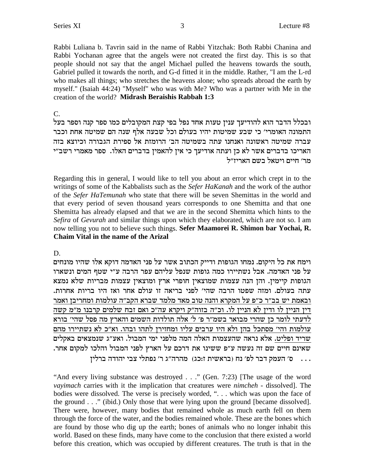Rabbi Luliana b. Tavrin said in the name of Rabbi Yitzchak: Both Rabbi Chanina and Rabbi Yochanan agree that the angels were not created the first day. This is so that people should not say that the angel Michael pulled the heavens towards the south, Gabriel pulled it towards the north, and G-d fitted it in the middle. Rather, "I am the L-rd who makes all things; who stretches the heavens alone; who spreads abroad the earth by myself." (Isaiah 44:24) "Myself" who was with Me? Who was a partner with Me in the creation of the world? Midrash Beraishis Rabbah 1:3

 $C_{\cdot}$ 

ובכלל הדבר הוא להודיעך ענין טעות אחד נפל בפי קצת המקובלים כמו ספר קנה וספר בעל התמונה האומרי׳ כי שבע שמיטות יהיו בעולם וכל שבעה אלף שנה הם שמיטה אחת וכבר עברה שמיטה ראשונה ואנחנו עתה בשמיטה הב' הרומזת אל ספירת הגבורה וכיוצא בזה האריכו בדברים אשר לא כן ועתה אודיעך כי אין להאמין בדברים האלו. ספר מאמרי רשב״י מר׳ חיים ויטאל בשם האריז״ל

Regarding this in general, I would like to tell you about an error which crept in to the writings of some of the Kabbalists such as the Sefer HaKanah and the work of the author of the Sefer HaTemunah who state that there will be seven Shemittas in the world and that every period of seven thousand years corresponds to one Shemitta and that one Shemitta has already elapsed and that we are in the second Shemitta which hints to the Sefira of Gevurah and similar things upon which they elaborated, which are not so. I am now telling you not to believe such things. Sefer Maamorei R. Shimon bar Yochai, R. **Chaim Vital in the name of the Arizal** 

D.

וימח את כל היקום. נמחו הגופות ודייק הכתוב אשר על פני האדמה דוקא אלו שהיו מונחים על פני האדמה. אבל נשתיירו כמה גופות שנפל עליהם עפר הרבה ע״י שטף המים ונשארו הגופות קיימין. והן הנה עצמות שמוצאין חופרי ארץ ומוצאין עצמות מבריות שלא נמצא עתה בעולם. ומזה שפטו הרבה שהי׳ לפני בריאה זו עולם אחר ואז היו בריות אחרות. ובאמת יש בב״ר כ״פ על המקרא והנה טוב מאד מלמד שברא הקב״ה עולמות ומחריבן ואמר דין הניין לו ודין לא הניין לו. וכ"ה בזוה"ק ויקרא עה"כ ואם זבח שלמים קרבנו מ"מ קשה לדעתי לומר כן שהרי מבואר בשמ״ר פ׳ ל׳ אלה תולדות השמים והארץ מה פסל שהי׳ בורא עולמות והי׳ מסתכל בהן ולא היו ערבים עליו ומחזירן לתהו ובהו. וא״כ לא נשתיירו מהם שריד ופליט. אלא נראה שהעצמות האלה המה מלפני ימי המבול. ואע"ג שנמצאים באקלים שאינם חיים שם זה נעשה ע"פ ששינו את דרכם על הארץ לפני המבול והלכו למקום אחר. ... ס׳ העמק דבר לפ׳ נח (בראשית ז:כג) מהרה״ג ר׳ נפתלי צבי יהודה ברלין

"And every living substance was destroyed . . ." (Gen. 7:23) [The usage of the word vayimach carries with it the implication that creatures were nimcheh - dissolved]. The bodies were dissolved. The verse is precisely worded, "... which was upon the face of the ground . . ." (ibid.) Only those that were lying upon the ground [became dissolved]. There were, however, many bodies that remained whole as much earth fell on them through the force of the water, and the bodies remained whole. These are the bones which are found by those who dig up the earth; bones of animals who no longer inhabit this world. Based on these finds, many have come to the conclusion that there existed a world before this creation, which was occupied by different creatures. The truth is that in the